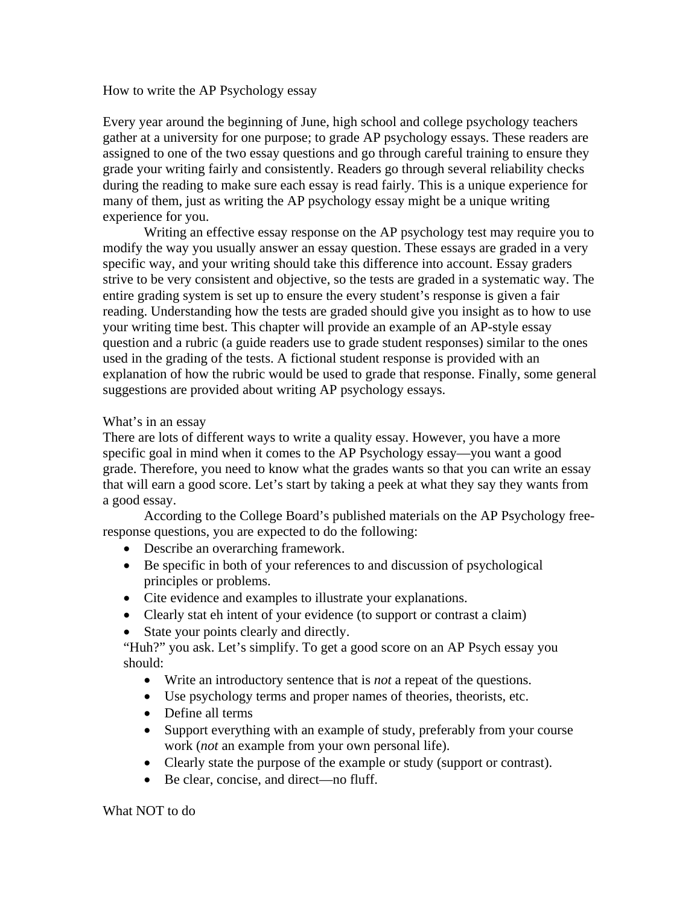## How to write the AP Psychology essay

Every year around the beginning of June, high school and college psychology teachers gather at a university for one purpose; to grade AP psychology essays. These readers are assigned to one of the two essay questions and go through careful training to ensure they grade your writing fairly and consistently. Readers go through several reliability checks during the reading to make sure each essay is read fairly. This is a unique experience for many of them, just as writing the AP psychology essay might be a unique writing experience for you.

 Writing an effective essay response on the AP psychology test may require you to modify the way you usually answer an essay question. These essays are graded in a very specific way, and your writing should take this difference into account. Essay graders strive to be very consistent and objective, so the tests are graded in a systematic way. The entire grading system is set up to ensure the every student's response is given a fair reading. Understanding how the tests are graded should give you insight as to how to use your writing time best. This chapter will provide an example of an AP-style essay question and a rubric (a guide readers use to grade student responses) similar to the ones used in the grading of the tests. A fictional student response is provided with an explanation of how the rubric would be used to grade that response. Finally, some general suggestions are provided about writing AP psychology essays.

## What's in an essay

There are lots of different ways to write a quality essay. However, you have a more specific goal in mind when it comes to the AP Psychology essay—you want a good grade. Therefore, you need to know what the grades wants so that you can write an essay that will earn a good score. Let's start by taking a peek at what they say they wants from a good essay.

 According to the College Board's published materials on the AP Psychology freeresponse questions, you are expected to do the following:

- Describe an overarching framework.
- Be specific in both of your references to and discussion of psychological principles or problems.
- Cite evidence and examples to illustrate your explanations.
- Clearly stat eh intent of your evidence (to support or contrast a claim)
- State your points clearly and directly.

"Huh?" you ask. Let's simplify. To get a good score on an AP Psych essay you should:

- Write an introductory sentence that is *not* a repeat of the questions.
- Use psychology terms and proper names of theories, theorists, etc.
- Define all terms
- Support everything with an example of study, preferably from your course work (*not* an example from your own personal life).
- Clearly state the purpose of the example or study (support or contrast).
- Be clear, concise, and direct—no fluff.

What NOT to do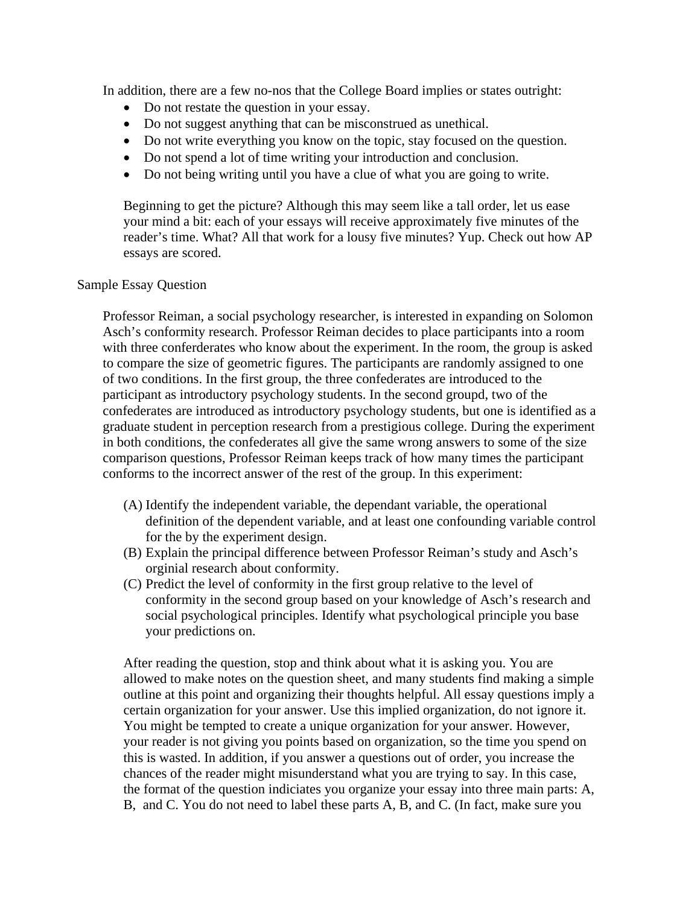In addition, there are a few no-nos that the College Board implies or states outright:

- Do not restate the question in your essay.
- Do not suggest anything that can be misconstrued as unethical.
- Do not write everything you know on the topic, stay focused on the question.
- Do not spend a lot of time writing your introduction and conclusion.
- Do not being writing until you have a clue of what you are going to write.

Beginning to get the picture? Although this may seem like a tall order, let us ease your mind a bit: each of your essays will receive approximately five minutes of the reader's time. What? All that work for a lousy five minutes? Yup. Check out how AP essays are scored.

## Sample Essay Question

Professor Reiman, a social psychology researcher, is interested in expanding on Solomon Asch's conformity research. Professor Reiman decides to place participants into a room with three conferderates who know about the experiment. In the room, the group is asked to compare the size of geometric figures. The participants are randomly assigned to one of two conditions. In the first group, the three confederates are introduced to the participant as introductory psychology students. In the second groupd, two of the confederates are introduced as introductory psychology students, but one is identified as a graduate student in perception research from a prestigious college. During the experiment in both conditions, the confederates all give the same wrong answers to some of the size comparison questions, Professor Reiman keeps track of how many times the participant conforms to the incorrect answer of the rest of the group. In this experiment:

- (A) Identify the independent variable, the dependant variable, the operational definition of the dependent variable, and at least one confounding variable control for the by the experiment design.
- (B) Explain the principal difference between Professor Reiman's study and Asch's orginial research about conformity.
- (C) Predict the level of conformity in the first group relative to the level of conformity in the second group based on your knowledge of Asch's research and social psychological principles. Identify what psychological principle you base your predictions on.

After reading the question, stop and think about what it is asking you. You are allowed to make notes on the question sheet, and many students find making a simple outline at this point and organizing their thoughts helpful. All essay questions imply a certain organization for your answer. Use this implied organization, do not ignore it. You might be tempted to create a unique organization for your answer. However, your reader is not giving you points based on organization, so the time you spend on this is wasted. In addition, if you answer a questions out of order, you increase the chances of the reader might misunderstand what you are trying to say. In this case, the format of the question indiciates you organize your essay into three main parts: A, B, and C. You do not need to label these parts A, B, and C. (In fact, make sure you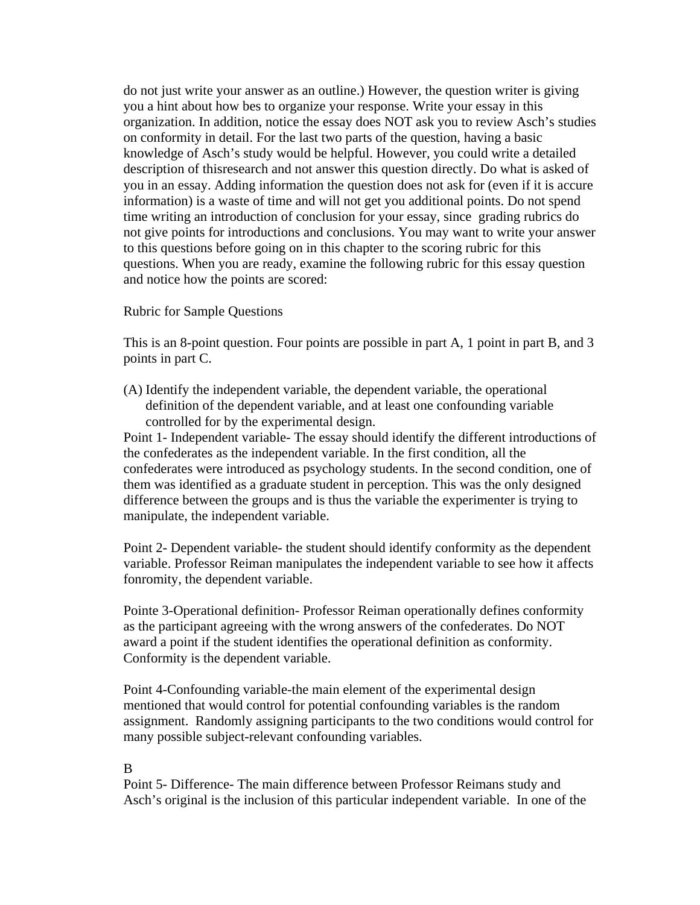do not just write your answer as an outline.) However, the question writer is giving you a hint about how bes to organize your response. Write your essay in this organization. In addition, notice the essay does NOT ask you to review Asch's studies on conformity in detail. For the last two parts of the question, having a basic knowledge of Asch's study would be helpful. However, you could write a detailed description of thisresearch and not answer this question directly. Do what is asked of you in an essay. Adding information the question does not ask for (even if it is accure information) is a waste of time and will not get you additional points. Do not spend time writing an introduction of conclusion for your essay, since grading rubrics do not give points for introductions and conclusions. You may want to write your answer to this questions before going on in this chapter to the scoring rubric for this questions. When you are ready, examine the following rubric for this essay question and notice how the points are scored:

Rubric for Sample Questions

This is an 8-point question. Four points are possible in part A, 1 point in part B, and 3 points in part C.

(A) Identify the independent variable, the dependent variable, the operational definition of the dependent variable, and at least one confounding variable controlled for by the experimental design.

Point 1- Independent variable- The essay should identify the different introductions of the confederates as the independent variable. In the first condition, all the confederates were introduced as psychology students. In the second condition, one of them was identified as a graduate student in perception. This was the only designed difference between the groups and is thus the variable the experimenter is trying to manipulate, the independent variable.

Point 2- Dependent variable- the student should identify conformity as the dependent variable. Professor Reiman manipulates the independent variable to see how it affects fonromity, the dependent variable.

Pointe 3-Operational definition- Professor Reiman operationally defines conformity as the participant agreeing with the wrong answers of the confederates. Do NOT award a point if the student identifies the operational definition as conformity. Conformity is the dependent variable.

Point 4-Confounding variable-the main element of the experimental design mentioned that would control for potential confounding variables is the random assignment. Randomly assigning participants to the two conditions would control for many possible subject-relevant confounding variables.

## B

Point 5- Difference- The main difference between Professor Reimans study and Asch's original is the inclusion of this particular independent variable. In one of the